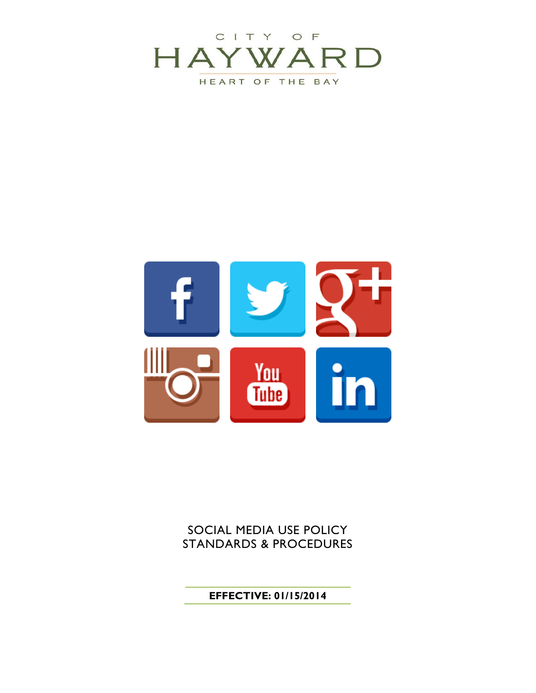



SOCIAL MEDIA USE POLICY STANDARDS & PROCEDURES

## **EFFECTIVE: 01/15/2014**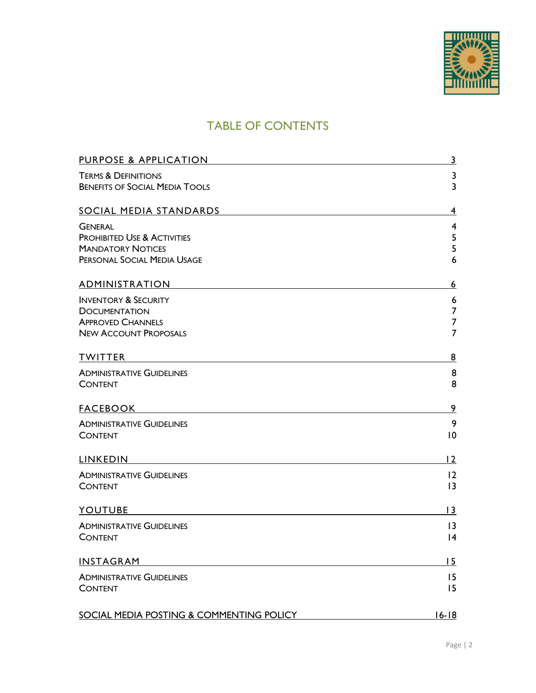

## TABLE OF CONTENTS

| PURPOSE & APPLICATION                                                   | $\overline{3}$          |
|-------------------------------------------------------------------------|-------------------------|
| <b>TERMS &amp; DEFINITIONS</b><br><b>BENEFITS OF SOCIAL MEDIA TOOLS</b> | 3<br>$\overline{3}$     |
| <b>SOCIAL MEDIA STANDARDS</b>                                           | 4                       |
| <b>GENERAL</b>                                                          | $\overline{\mathbf{4}}$ |
| <b>PROHIBITED USE &amp; ACTIVITIES</b>                                  | 5                       |
| <b>MANDATORY NOTICES</b>                                                | 5                       |
| PERSONAL SOCIAL MEDIA USAGE                                             | 6                       |
| <b>ADMINISTRATION</b>                                                   | 6                       |
| <b>INVENTORY &amp; SECURITY</b>                                         | 6                       |
| <b>DOCUMENTATION</b>                                                    | $\overline{7}$          |
| <b>APPROVED CHANNELS</b>                                                | $\overline{7}$          |
| <b>NEW ACCOUNT PROPOSALS</b>                                            | $\overline{7}$          |
| <b>TWITTER</b>                                                          | 8                       |
| <b>ADMINISTRATIVE GUIDELINES</b>                                        | 8                       |
| <b>CONTENT</b>                                                          | 8                       |
| <b>FACEBOOK</b>                                                         | $\overline{9}$          |
| <b>ADMINISTRATIVE GUIDELINES</b>                                        | 9                       |
| <b>CONTENT</b>                                                          | 10                      |
| <b>LINKEDIN</b>                                                         | 12                      |
| <b>ADMINISTRATIVE GUIDELINES</b>                                        | 12                      |
| <b>CONTENT</b>                                                          | $\overline{13}$         |
| <b>YOUTUBE</b>                                                          | $\overline{13}$         |
| <b>ADMINISTRATIVE GUIDELINES</b>                                        | 13                      |
| <b>CONTENT</b>                                                          | 4                       |
| INSTAGRAM                                                               | 15                      |
| <b>ADMINISTRATIVE GUIDELINES</b>                                        | 15                      |
| <b>CONTENT</b>                                                          | 15                      |
| <b>SOCIAL MEDIA POSTING &amp; COMMENTING POLICY</b>                     | $16 - 18$               |
|                                                                         |                         |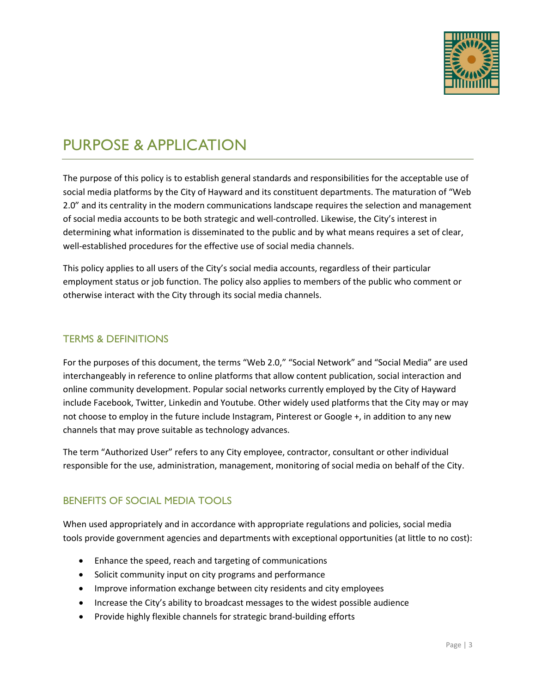

# PURPOSE & APPLICATION

The purpose of this policy is to establish general standards and responsibilities for the acceptable use of social media platforms by the City of Hayward and its constituent departments. The maturation of "Web 2.0" and its centrality in the modern communications landscape requires the selection and management of social media accounts to be both strategic and well-controlled. Likewise, the City's interest in determining what information is disseminated to the public and by what means requires a set of clear, well-established procedures for the effective use of social media channels.

This policy applies to all users of the City's social media accounts, regardless of their particular employment status or job function. The policy also applies to members of the public who comment or otherwise interact with the City through its social media channels.

### TERMS & DEFINITIONS

For the purposes of this document, the terms "Web 2.0," "Social Network" and "Social Media" are used interchangeably in reference to online platforms that allow content publication, social interaction and online community development. Popular social networks currently employed by the City of Hayward include Facebook, Twitter, Linkedin and Youtube. Other widely used platforms that the City may or may not choose to employ in the future include Instagram, Pinterest or Google +, in addition to any new channels that may prove suitable as technology advances.

The term "Authorized User" refers to any City employee, contractor, consultant or other individual responsible for the use, administration, management, monitoring of social media on behalf of the City.

## BENEFITS OF SOCIAL MEDIA TOOLS

When used appropriately and in accordance with appropriate regulations and policies, social media tools provide government agencies and departments with exceptional opportunities (at little to no cost):

- Enhance the speed, reach and targeting of communications
- Solicit community input on city programs and performance
- Improve information exchange between city residents and city employees
- Increase the City's ability to broadcast messages to the widest possible audience
- Provide highly flexible channels for strategic brand-building efforts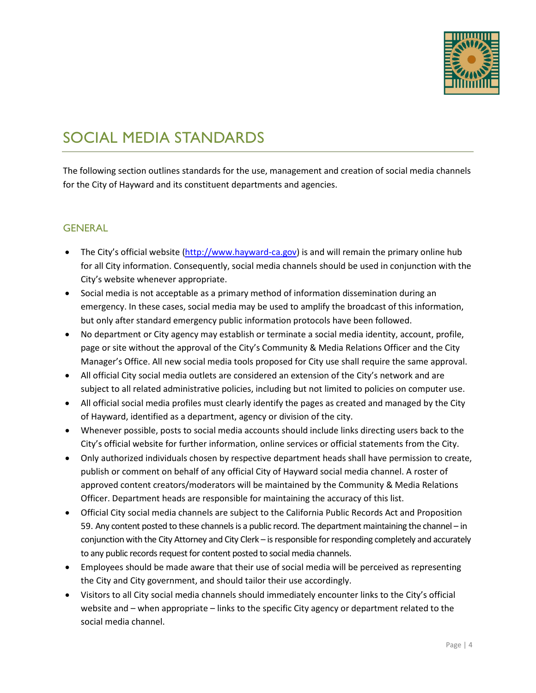

# SOCIAL MEDIA STANDARDS

The following section outlines standards for the use, management and creation of social media channels for the City of Hayward and its constituent departments and agencies.

#### **GENERAL**

- The City's official website [\(http://www.hayward-ca.gov\)](http://www.hayward-ca.gov/) is and will remain the primary online hub for all City information. Consequently, social media channels should be used in conjunction with the City's website whenever appropriate.
- Social media is not acceptable as a primary method of information dissemination during an emergency. In these cases, social media may be used to amplify the broadcast of this information, but only after standard emergency public information protocols have been followed.
- No department or City agency may establish or terminate a social media identity, account, profile, page or site without the approval of the City's Community & Media Relations Officer and the City Manager's Office. All new social media tools proposed for City use shall require the same approval.
- All official City social media outlets are considered an extension of the City's network and are subject to all related administrative policies, including but not limited to policies on computer use.
- All official social media profiles must clearly identify the pages as created and managed by the City of Hayward, identified as a department, agency or division of the city.
- Whenever possible, posts to social media accounts should include links directing users back to the City's official website for further information, online services or official statements from the City.
- Only authorized individuals chosen by respective department heads shall have permission to create, publish or comment on behalf of any official City of Hayward social media channel. A roster of approved content creators/moderators will be maintained by the Community & Media Relations Officer. Department heads are responsible for maintaining the accuracy of this list.
- Official City social media channels are subject to the California Public Records Act and Proposition 59. Any content posted to these channels is a public record. The department maintaining the channel – in conjunction with the City Attorney and City Clerk – is responsible for responding completely and accurately to any public records request for content posted to social media channels.
- Employees should be made aware that their use of social media will be perceived as representing the City and City government, and should tailor their use accordingly.
- Visitors to all City social media channels should immediately encounter links to the City's official website and – when appropriate – links to the specific City agency or department related to the social media channel.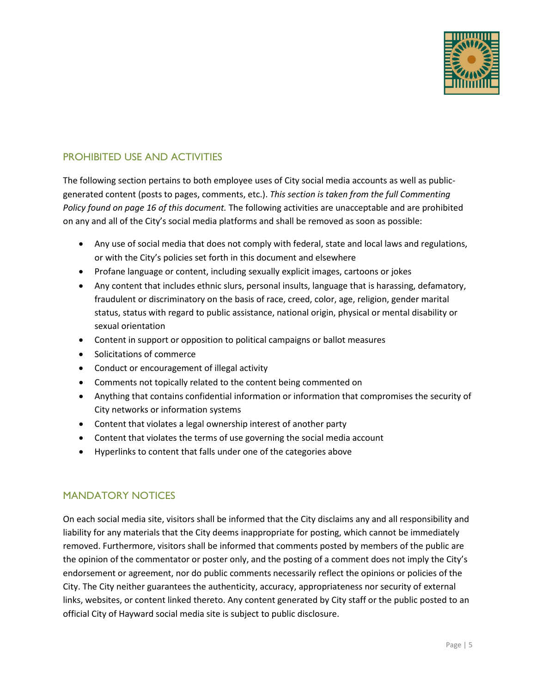

## PROHIBITED USE AND ACTIVITIES

The following section pertains to both employee uses of City social media accounts as well as publicgenerated content (posts to pages, comments, etc.). *This section is taken from the full Commenting Policy found on page 16 of this document.* The following activities are unacceptable and are prohibited on any and all of the City's social media platforms and shall be removed as soon as possible:

- Any use of social media that does not comply with federal, state and local laws and regulations, or with the City's policies set forth in this document and elsewhere
- Profane language or content, including sexually explicit images, cartoons or jokes
- Any content that includes ethnic slurs, personal insults, language that is harassing, defamatory, fraudulent or discriminatory on the basis of race, creed, color, age, religion, gender marital status, status with regard to public assistance, national origin, physical or mental disability or sexual orientation
- Content in support or opposition to political campaigns or ballot measures
- Solicitations of commerce
- Conduct or encouragement of illegal activity
- Comments not topically related to the content being commented on
- Anything that contains confidential information or information that compromises the security of City networks or information systems
- Content that violates a legal ownership interest of another party
- Content that violates the terms of use governing the social media account
- Hyperlinks to content that falls under one of the categories above

### MANDATORY NOTICES

On each social media site, visitors shall be informed that the City disclaims any and all responsibility and liability for any materials that the City deems inappropriate for posting, which cannot be immediately removed. Furthermore, visitors shall be informed that comments posted by members of the public are the opinion of the commentator or poster only, and the posting of a comment does not imply the City's endorsement or agreement, nor do public comments necessarily reflect the opinions or policies of the City. The City neither guarantees the authenticity, accuracy, appropriateness nor security of external links, websites, or content linked thereto. Any content generated by City staff or the public posted to an official City of Hayward social media site is subject to public disclosure.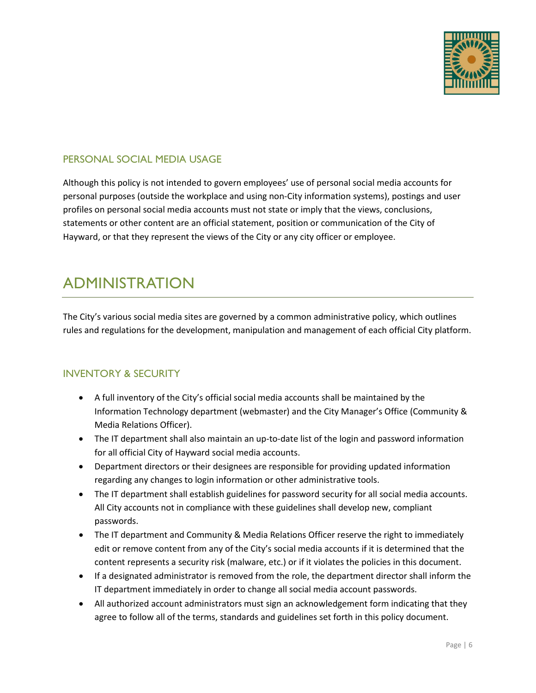

### PERSONAL SOCIAL MEDIA USAGE

Although this policy is not intended to govern employees' use of personal social media accounts for personal purposes (outside the workplace and using non-City information systems), postings and user profiles on personal social media accounts must not state or imply that the views, conclusions, statements or other content are an official statement, position or communication of the City of Hayward, or that they represent the views of the City or any city officer or employee.

# ADMINISTRATION

The City's various social media sites are governed by a common administrative policy, which outlines rules and regulations for the development, manipulation and management of each official City platform.

## INVENTORY & SECURITY

- A full inventory of the City's official social media accounts shall be maintained by the Information Technology department (webmaster) and the City Manager's Office (Community & Media Relations Officer).
- The IT department shall also maintain an up-to-date list of the login and password information for all official City of Hayward social media accounts.
- Department directors or their designees are responsible for providing updated information regarding any changes to login information or other administrative tools.
- The IT department shall establish guidelines for password security for all social media accounts. All City accounts not in compliance with these guidelines shall develop new, compliant passwords.
- The IT department and Community & Media Relations Officer reserve the right to immediately edit or remove content from any of the City's social media accounts if it is determined that the content represents a security risk (malware, etc.) or if it violates the policies in this document.
- If a designated administrator is removed from the role, the department director shall inform the IT department immediately in order to change all social media account passwords.
- All authorized account administrators must sign an acknowledgement form indicating that they agree to follow all of the terms, standards and guidelines set forth in this policy document.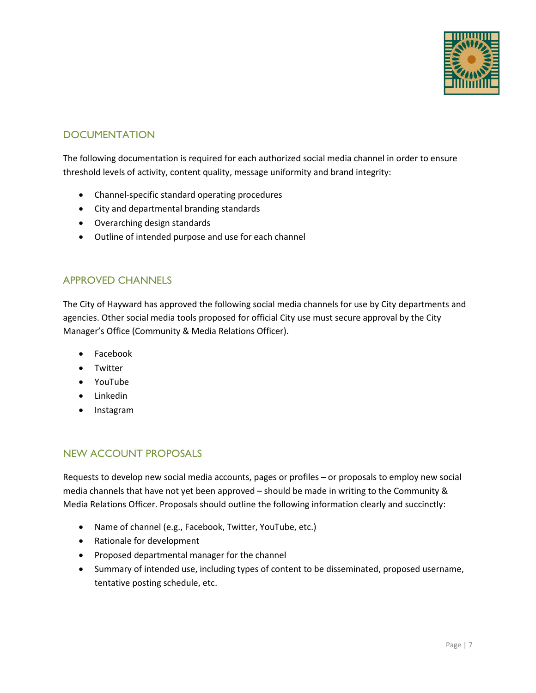

## **DOCUMENTATION**

The following documentation is required for each authorized social media channel in order to ensure threshold levels of activity, content quality, message uniformity and brand integrity:

- Channel-specific standard operating procedures
- City and departmental branding standards
- Overarching design standards
- Outline of intended purpose and use for each channel

#### APPROVED CHANNELS

The City of Hayward has approved the following social media channels for use by City departments and agencies. Other social media tools proposed for official City use must secure approval by the City Manager's Office (Community & Media Relations Officer).

- Facebook
- Twitter
- YouTube
- Linkedin
- Instagram

#### NEW ACCOUNT PROPOSALS

Requests to develop new social media accounts, pages or profiles – or proposals to employ new social media channels that have not yet been approved – should be made in writing to the Community & Media Relations Officer. Proposals should outline the following information clearly and succinctly:

- Name of channel (e.g., Facebook, Twitter, YouTube, etc.)
- Rationale for development
- Proposed departmental manager for the channel
- Summary of intended use, including types of content to be disseminated, proposed username, tentative posting schedule, etc.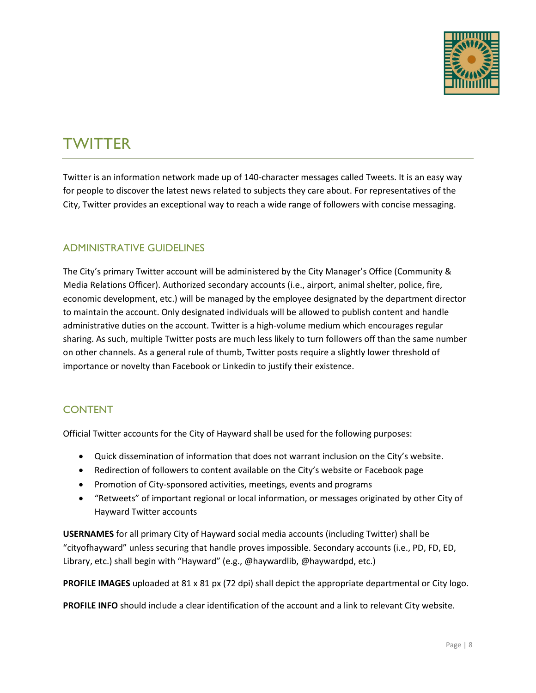

# **TWITTER**

Twitter is an information network made up of 140-character messages called Tweets. It is an easy way for people to discover the latest news related to subjects they care about. For representatives of the City, Twitter provides an exceptional way to reach a wide range of followers with concise messaging.

## ADMINISTRATIVE GUIDELINES

The City's primary Twitter account will be administered by the City Manager's Office (Community & Media Relations Officer). Authorized secondary accounts (i.e., airport, animal shelter, police, fire, economic development, etc.) will be managed by the employee designated by the department director to maintain the account. Only designated individuals will be allowed to publish content and handle administrative duties on the account. Twitter is a high-volume medium which encourages regular sharing. As such, multiple Twitter posts are much less likely to turn followers off than the same number on other channels. As a general rule of thumb, Twitter posts require a slightly lower threshold of importance or novelty than Facebook or Linkedin to justify their existence.

## CONTENT

Official Twitter accounts for the City of Hayward shall be used for the following purposes:

- Quick dissemination of information that does not warrant inclusion on the City's website.
- Redirection of followers to content available on the City's website or Facebook page
- Promotion of City-sponsored activities, meetings, events and programs
- "Retweets" of important regional or local information, or messages originated by other City of Hayward Twitter accounts

**USERNAMES** for all primary City of Hayward social media accounts (including Twitter) shall be "cityofhayward" unless securing that handle proves impossible. Secondary accounts (i.e., PD, FD, ED, Library, etc.) shall begin with "Hayward" (e.g., @haywardlib, @haywardpd, etc.)

**PROFILE IMAGES** uploaded at 81 x 81 px (72 dpi) shall depict the appropriate departmental or City logo.

**PROFILE INFO** should include a clear identification of the account and a link to relevant City website.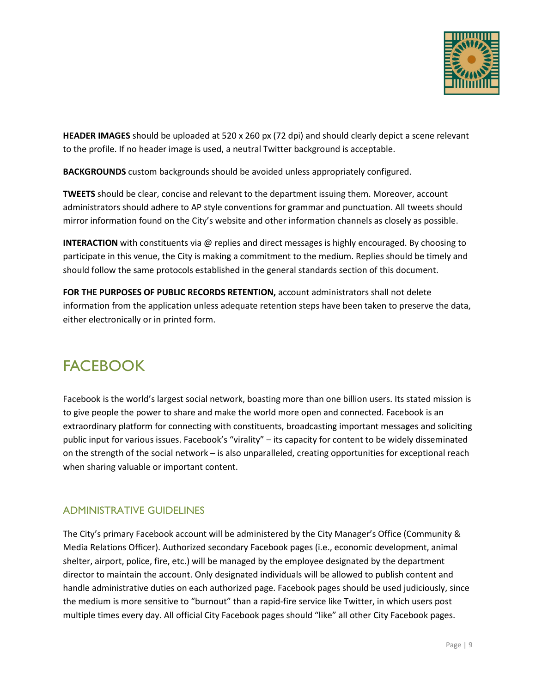

**HEADER IMAGES** should be uploaded at 520 x 260 px (72 dpi) and should clearly depict a scene relevant to the profile. If no header image is used, a neutral Twitter background is acceptable.

**BACKGROUNDS** custom backgrounds should be avoided unless appropriately configured.

**TWEETS** should be clear, concise and relevant to the department issuing them. Moreover, account administrators should adhere to AP style conventions for grammar and punctuation. All tweets should mirror information found on the City's website and other information channels as closely as possible.

**INTERACTION** with constituents via @ replies and direct messages is highly encouraged. By choosing to participate in this venue, the City is making a commitment to the medium. Replies should be timely and should follow the same protocols established in the general standards section of this document.

**FOR THE PURPOSES OF PUBLIC RECORDS RETENTION,** account administrators shall not delete information from the application unless adequate retention steps have been taken to preserve the data, either electronically or in printed form.

# **FACEBOOK**

Facebook is the world's largest social network, boasting more than one billion users. Its stated mission is to give people the power to share and make the world more open and connected. Facebook is an extraordinary platform for connecting with constituents, broadcasting important messages and soliciting public input for various issues. Facebook's "virality" – its capacity for content to be widely disseminated on the strength of the social network – is also unparalleled, creating opportunities for exceptional reach when sharing valuable or important content.

## ADMINISTRATIVE GUIDELINES

The City's primary Facebook account will be administered by the City Manager's Office (Community & Media Relations Officer). Authorized secondary Facebook pages (i.e., economic development, animal shelter, airport, police, fire, etc.) will be managed by the employee designated by the department director to maintain the account. Only designated individuals will be allowed to publish content and handle administrative duties on each authorized page. Facebook pages should be used judiciously, since the medium is more sensitive to "burnout" than a rapid-fire service like Twitter, in which users post multiple times every day. All official City Facebook pages should "like" all other City Facebook pages.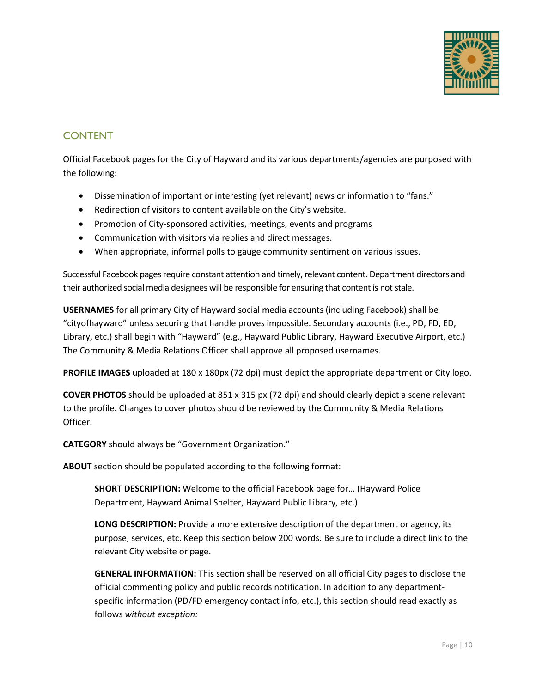

## CONTENT

Official Facebook pages for the City of Hayward and its various departments/agencies are purposed with the following:

- Dissemination of important or interesting (yet relevant) news or information to "fans."
- Redirection of visitors to content available on the City's website.
- Promotion of City-sponsored activities, meetings, events and programs
- Communication with visitors via replies and direct messages.
- When appropriate, informal polls to gauge community sentiment on various issues.

Successful Facebook pages require constant attention and timely, relevant content. Department directors and their authorized social media designees will be responsible for ensuring that content is not stale.

**USERNAMES** for all primary City of Hayward social media accounts (including Facebook) shall be "cityofhayward" unless securing that handle proves impossible. Secondary accounts (i.e., PD, FD, ED, Library, etc.) shall begin with "Hayward" (e.g., Hayward Public Library, Hayward Executive Airport, etc.) The Community & Media Relations Officer shall approve all proposed usernames.

**PROFILE IMAGES** uploaded at 180 x 180px (72 dpi) must depict the appropriate department or City logo.

**COVER PHOTOS** should be uploaded at 851 x 315 px (72 dpi) and should clearly depict a scene relevant to the profile. Changes to cover photos should be reviewed by the Community & Media Relations Officer.

**CATEGORY** should always be "Government Organization."

**ABOUT** section should be populated according to the following format:

**SHORT DESCRIPTION:** Welcome to the official Facebook page for… (Hayward Police Department, Hayward Animal Shelter, Hayward Public Library, etc.)

**LONG DESCRIPTION:** Provide a more extensive description of the department or agency, its purpose, services, etc. Keep this section below 200 words. Be sure to include a direct link to the relevant City website or page.

**GENERAL INFORMATION:** This section shall be reserved on all official City pages to disclose the official commenting policy and public records notification. In addition to any departmentspecific information (PD/FD emergency contact info, etc.), this section should read exactly as follows *without exception:*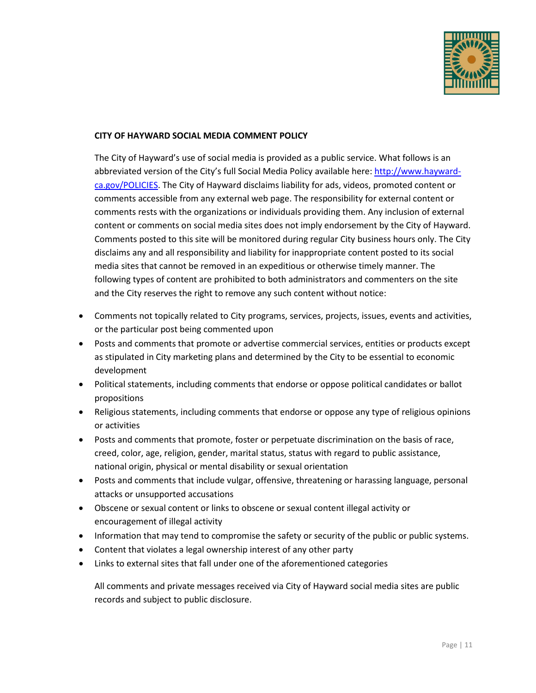

#### **CITY OF HAYWARD SOCIAL MEDIA COMMENT POLICY**

The City of Hayward's use of social media is provided as a public service. What follows is an abbreviated version of the City's full Social Media Policy available here: [http://www.hayward](http://www.hayward-ca.gov/POLICIES)[ca.gov/POLICIES.](http://www.hayward-ca.gov/POLICIES) The City of Hayward disclaims liability for ads, videos, promoted content or comments accessible from any external web page. The responsibility for external content or comments rests with the organizations or individuals providing them. Any inclusion of external content or comments on social media sites does not imply endorsement by the City of Hayward. Comments posted to this site will be monitored during regular City business hours only. The City disclaims any and all responsibility and liability for inappropriate content posted to its social media sites that cannot be removed in an expeditious or otherwise timely manner. The following types of content are prohibited to both administrators and commenters on the site and the City reserves the right to remove any such content without notice:

- Comments not topically related to City programs, services, projects, issues, events and activities, or the particular post being commented upon
- Posts and comments that promote or advertise commercial services, entities or products except as stipulated in City marketing plans and determined by the City to be essential to economic development
- Political statements, including comments that endorse or oppose political candidates or ballot propositions
- Religious statements, including comments that endorse or oppose any type of religious opinions or activities
- Posts and comments that promote, foster or perpetuate discrimination on the basis of race, creed, color, age, religion, gender, marital status, status with regard to public assistance, national origin, physical or mental disability or sexual orientation
- Posts and comments that include vulgar, offensive, threatening or harassing language, personal attacks or unsupported accusations
- Obscene or sexual content or links to obscene or sexual content illegal activity or encouragement of illegal activity
- Information that may tend to compromise the safety or security of the public or public systems.
- Content that violates a legal ownership interest of any other party
- Links to external sites that fall under one of the aforementioned categories

All comments and private messages received via City of Hayward social media sites are public records and subject to public disclosure.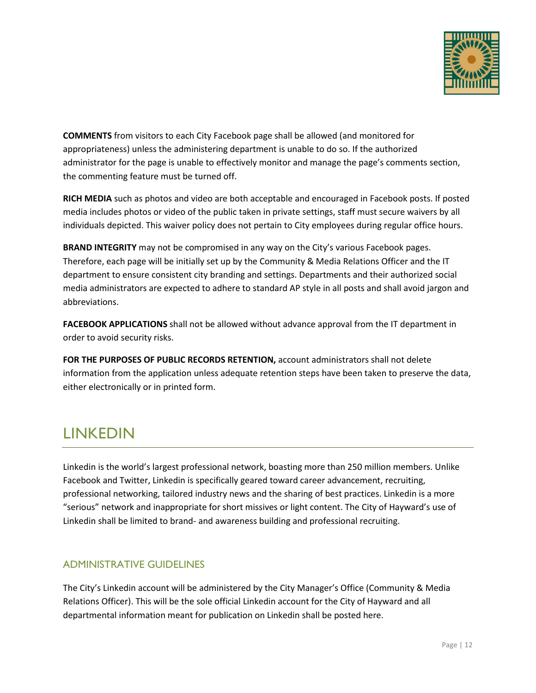

**COMMENTS** from visitors to each City Facebook page shall be allowed (and monitored for appropriateness) unless the administering department is unable to do so. If the authorized administrator for the page is unable to effectively monitor and manage the page's comments section, the commenting feature must be turned off.

**RICH MEDIA** such as photos and video are both acceptable and encouraged in Facebook posts. If posted media includes photos or video of the public taken in private settings, staff must secure waivers by all individuals depicted. This waiver policy does not pertain to City employees during regular office hours.

**BRAND INTEGRITY** may not be compromised in any way on the City's various Facebook pages. Therefore, each page will be initially set up by the Community & Media Relations Officer and the IT department to ensure consistent city branding and settings. Departments and their authorized social media administrators are expected to adhere to standard AP style in all posts and shall avoid jargon and abbreviations.

**FACEBOOK APPLICATIONS** shall not be allowed without advance approval from the IT department in order to avoid security risks.

**FOR THE PURPOSES OF PUBLIC RECORDS RETENTION,** account administrators shall not delete information from the application unless adequate retention steps have been taken to preserve the data, either electronically or in printed form.

# LINKEDIN

Linkedin is the world's largest professional network, boasting more than 250 million members. Unlike Facebook and Twitter, Linkedin is specifically geared toward career advancement, recruiting, professional networking, tailored industry news and the sharing of best practices. Linkedin is a more "serious" network and inappropriate for short missives or light content. The City of Hayward's use of Linkedin shall be limited to brand- and awareness building and professional recruiting.

## ADMINISTRATIVE GUIDELINES

The City's Linkedin account will be administered by the City Manager's Office (Community & Media Relations Officer). This will be the sole official Linkedin account for the City of Hayward and all departmental information meant for publication on Linkedin shall be posted here.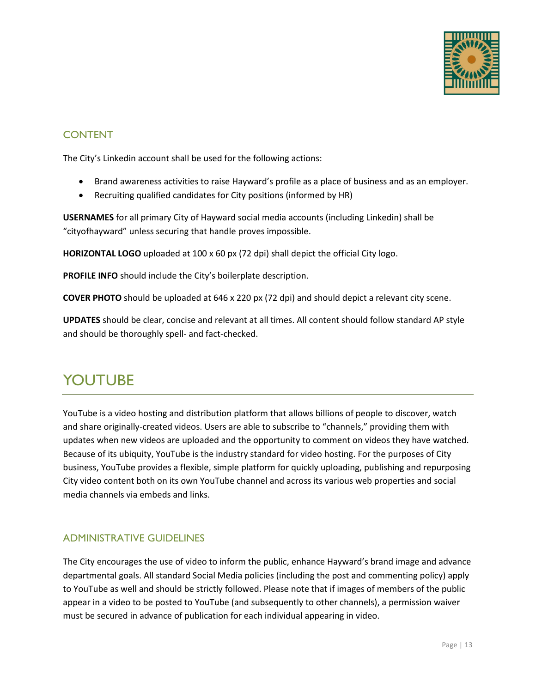

### CONTENT

The City's Linkedin account shall be used for the following actions:

- Brand awareness activities to raise Hayward's profile as a place of business and as an employer.
- Recruiting qualified candidates for City positions (informed by HR)

**USERNAMES** for all primary City of Hayward social media accounts (including Linkedin) shall be "cityofhayward" unless securing that handle proves impossible.

**HORIZONTAL LOGO** uploaded at 100 x 60 px (72 dpi) shall depict the official City logo.

**PROFILE INFO** should include the City's boilerplate description.

**COVER PHOTO** should be uploaded at 646 x 220 px (72 dpi) and should depict a relevant city scene.

**UPDATES** should be clear, concise and relevant at all times. All content should follow standard AP style and should be thoroughly spell- and fact-checked.

# YOUTUBE

YouTube is a video hosting and distribution platform that allows billions of people to discover, watch and share originally-created videos. Users are able to subscribe to "channels," providing them with updates when new videos are uploaded and the opportunity to comment on videos they have watched. Because of its ubiquity, YouTube is the industry standard for video hosting. For the purposes of City business, YouTube provides a flexible, simple platform for quickly uploading, publishing and repurposing City video content both on its own YouTube channel and across its various web properties and social media channels via embeds and links.

## ADMINISTRATIVE GUIDELINES

The City encourages the use of video to inform the public, enhance Hayward's brand image and advance departmental goals. All standard Social Media policies (including the post and commenting policy) apply to YouTube as well and should be strictly followed. Please note that if images of members of the public appear in a video to be posted to YouTube (and subsequently to other channels), a permission waiver must be secured in advance of publication for each individual appearing in video.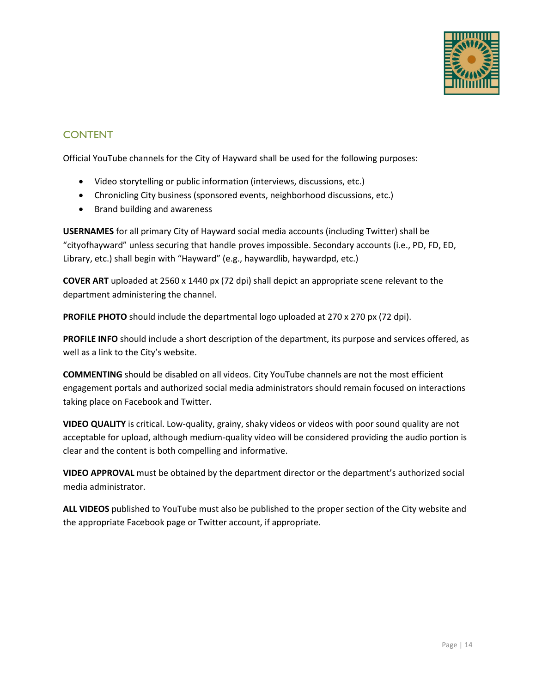

## CONTENT

Official YouTube channels for the City of Hayward shall be used for the following purposes:

- Video storytelling or public information (interviews, discussions, etc.)
- Chronicling City business (sponsored events, neighborhood discussions, etc.)
- Brand building and awareness

**USERNAMES** for all primary City of Hayward social media accounts (including Twitter) shall be "cityofhayward" unless securing that handle proves impossible. Secondary accounts (i.e., PD, FD, ED, Library, etc.) shall begin with "Hayward" (e.g., haywardlib, haywardpd, etc.)

**COVER ART** uploaded at 2560 x 1440 px (72 dpi) shall depict an appropriate scene relevant to the department administering the channel.

**PROFILE PHOTO** should include the departmental logo uploaded at 270 x 270 px (72 dpi).

**PROFILE INFO** should include a short description of the department, its purpose and services offered, as well as a link to the City's website.

**COMMENTING** should be disabled on all videos. City YouTube channels are not the most efficient engagement portals and authorized social media administrators should remain focused on interactions taking place on Facebook and Twitter.

**VIDEO QUALITY** is critical. Low-quality, grainy, shaky videos or videos with poor sound quality are not acceptable for upload, although medium-quality video will be considered providing the audio portion is clear and the content is both compelling and informative.

**VIDEO APPROVAL** must be obtained by the department director or the department's authorized social media administrator.

**ALL VIDEOS** published to YouTube must also be published to the proper section of the City website and the appropriate Facebook page or Twitter account, if appropriate.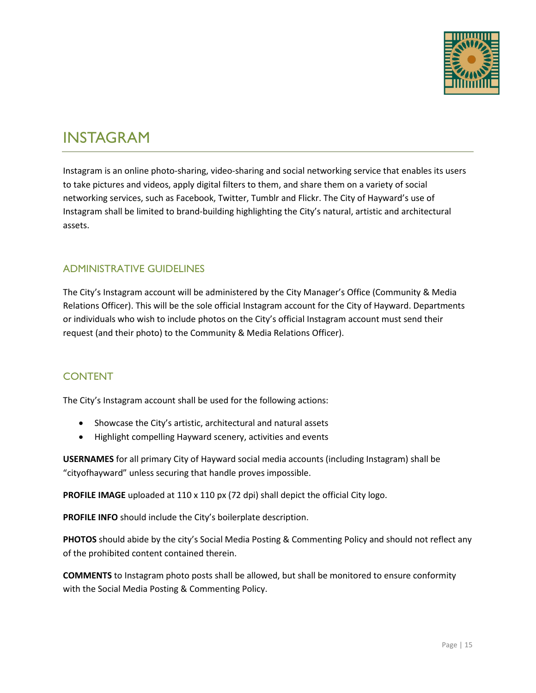

## INSTAGRAM

Instagram is an online photo-sharing, video-sharing and social networking service that enables its users to take pictures and videos, apply digital filters to them, and share them on a variety of social networking services, such as Facebook, Twitter, Tumblr and Flickr. The City of Hayward's use of Instagram shall be limited to brand-building highlighting the City's natural, artistic and architectural assets.

### ADMINISTRATIVE GUIDELINES

The City's Instagram account will be administered by the City Manager's Office (Community & Media Relations Officer). This will be the sole official Instagram account for the City of Hayward. Departments or individuals who wish to include photos on the City's official Instagram account must send their request (and their photo) to the Community & Media Relations Officer).

### **CONTENT**

The City's Instagram account shall be used for the following actions:

- Showcase the City's artistic, architectural and natural assets
- Highlight compelling Hayward scenery, activities and events

**USERNAMES** for all primary City of Hayward social media accounts (including Instagram) shall be "cityofhayward" unless securing that handle proves impossible.

**PROFILE IMAGE** uploaded at 110 x 110 px (72 dpi) shall depict the official City logo.

**PROFILE INFO** should include the City's boilerplate description.

**PHOTOS** should abide by the city's Social Media Posting & Commenting Policy and should not reflect any of the prohibited content contained therein.

**COMMENTS** to Instagram photo posts shall be allowed, but shall be monitored to ensure conformity with the Social Media Posting & Commenting Policy.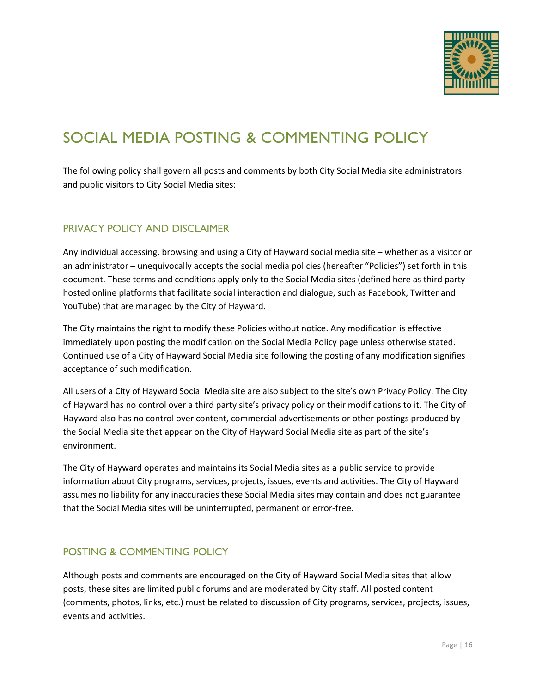

# SOCIAL MEDIA POSTING & COMMENTING POLICY

The following policy shall govern all posts and comments by both City Social Media site administrators and public visitors to City Social Media sites:

#### PRIVACY POLICY AND DISCLAIMER

Any individual accessing, browsing and using a City of Hayward social media site – whether as a visitor or an administrator – unequivocally accepts the social media policies (hereafter "Policies") set forth in this document. These terms and conditions apply only to the Social Media sites (defined here as third party hosted online platforms that facilitate social interaction and dialogue, such as Facebook, Twitter and YouTube) that are managed by the City of Hayward.

The City maintains the right to modify these Policies without notice. Any modification is effective immediately upon posting the modification on the Social Media Policy page unless otherwise stated. Continued use of a City of Hayward Social Media site following the posting of any modification signifies acceptance of such modification.

All users of a City of Hayward Social Media site are also subject to the site's own Privacy Policy. The City of Hayward has no control over a third party site's privacy policy or their modifications to it. The City of Hayward also has no control over content, commercial advertisements or other postings produced by the Social Media site that appear on the City of Hayward Social Media site as part of the site's environment.

The City of Hayward operates and maintains its Social Media sites as a public service to provide information about City programs, services, projects, issues, events and activities. The City of Hayward assumes no liability for any inaccuracies these Social Media sites may contain and does not guarantee that the Social Media sites will be uninterrupted, permanent or error-free.

### POSTING & COMMENTING POLICY

Although posts and comments are encouraged on the City of Hayward Social Media sites that allow posts, these sites are limited public forums and are moderated by City staff. All posted content (comments, photos, links, etc.) must be related to discussion of City programs, services, projects, issues, events and activities.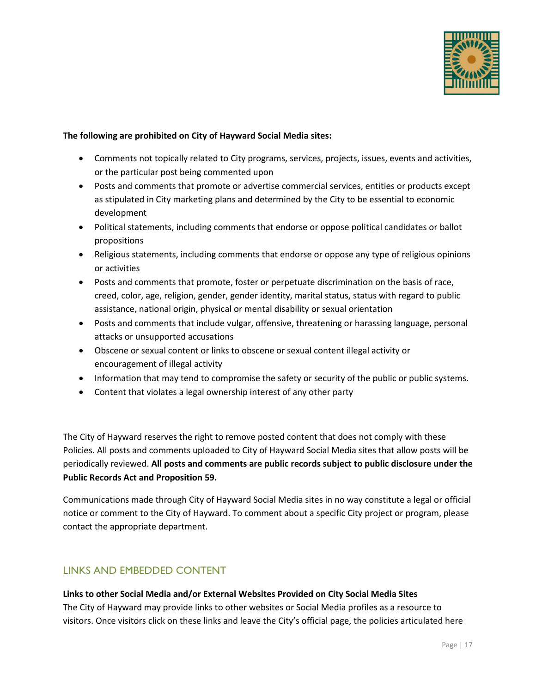

#### **The following are prohibited on City of Hayward Social Media sites:**

- Comments not topically related to City programs, services, projects, issues, events and activities, or the particular post being commented upon
- Posts and comments that promote or advertise commercial services, entities or products except as stipulated in City marketing plans and determined by the City to be essential to economic development
- Political statements, including comments that endorse or oppose political candidates or ballot propositions
- Religious statements, including comments that endorse or oppose any type of religious opinions or activities
- Posts and comments that promote, foster or perpetuate discrimination on the basis of race, creed, color, age, religion, gender, gender identity, marital status, status with regard to public assistance, national origin, physical or mental disability or sexual orientation
- Posts and comments that include vulgar, offensive, threatening or harassing language, personal attacks or unsupported accusations
- Obscene or sexual content or links to obscene or sexual content illegal activity or encouragement of illegal activity
- Information that may tend to compromise the safety or security of the public or public systems.
- Content that violates a legal ownership interest of any other party

The City of Hayward reserves the right to remove posted content that does not comply with these Policies. All posts and comments uploaded to City of Hayward Social Media sites that allow posts will be periodically reviewed. **All posts and comments are public records subject to public disclosure under the Public Records Act and Proposition 59.** 

Communications made through City of Hayward Social Media sites in no way constitute a legal or official notice or comment to the City of Hayward. To comment about a specific City project or program, please contact the appropriate department.

### LINKS AND EMBEDDED CONTENT

#### **Links to other Social Media and/or External Websites Provided on City Social Media Sites**

The City of Hayward may provide links to other websites or Social Media profiles as a resource to visitors. Once visitors click on these links and leave the City's official page, the policies articulated here